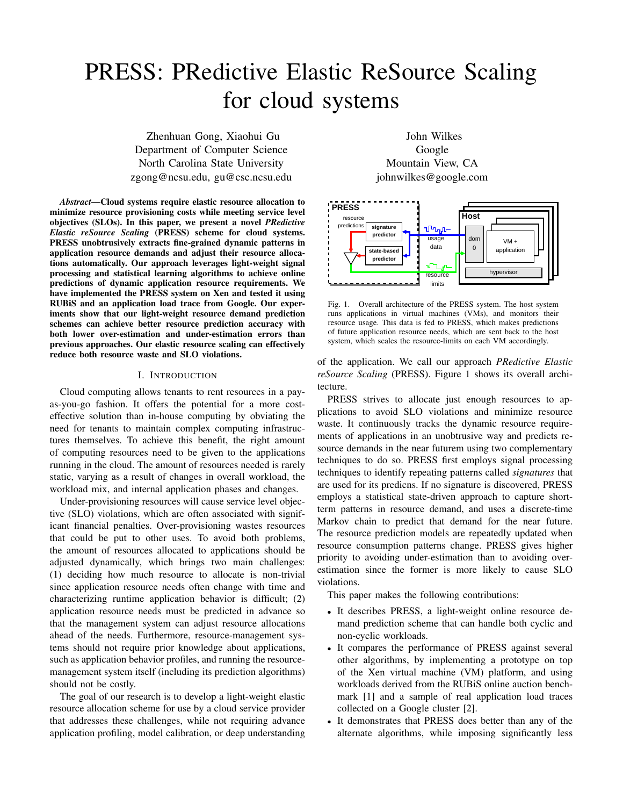# PRESS: PRedictive Elastic ReSource Scaling for cloud systems

Zhenhuan Gong, Xiaohui Gu Department of Computer Science North Carolina State University zgong@ncsu.edu, gu@csc.ncsu.edu

*Abstract*—Cloud systems require elastic resource allocation to minimize resource provisioning costs while meeting service level objectives (SLOs). In this paper, we present a novel *PRedictive Elastic reSource Scaling* (PRESS) scheme for cloud systems. PRESS unobtrusively extracts fine-grained dynamic patterns in application resource demands and adjust their resource allocations automatically. Our approach leverages light-weight signal processing and statistical learning algorithms to achieve online predictions of dynamic application resource requirements. We have implemented the PRESS system on Xen and tested it using RUBiS and an application load trace from Google. Our experiments show that our light-weight resource demand prediction schemes can achieve better resource prediction accuracy with both lower over-estimation and under-estimation errors than previous approaches. Our elastic resource scaling can effectively reduce both resource waste and SLO violations.

#### I. INTRODUCTION

Cloud computing allows tenants to rent resources in a payas-you-go fashion. It offers the potential for a more costeffective solution than in-house computing by obviating the need for tenants to maintain complex computing infrastructures themselves. To achieve this benefit, the right amount of computing resources need to be given to the applications running in the cloud. The amount of resources needed is rarely static, varying as a result of changes in overall workload, the workload mix, and internal application phases and changes.

Under-provisioning resources will cause service level objective (SLO) violations, which are often associated with significant financial penalties. Over-provisioning wastes resources that could be put to other uses. To avoid both problems, the amount of resources allocated to applications should be adjusted dynamically, which brings two main challenges: (1) deciding how much resource to allocate is non-trivial since application resource needs often change with time and characterizing runtime application behavior is difficult; (2) application resource needs must be predicted in advance so that the management system can adjust resource allocations ahead of the needs. Furthermore, resource-management systems should not require prior knowledge about applications, such as application behavior profiles, and running the resourcemanagement system itself (including its prediction algorithms) should not be costly.

The goal of our research is to develop a light-weight elastic resource allocation scheme for use by a cloud service provider that addresses these challenges, while not requiring advance application profiling, model calibration, or deep understanding

John Wilkes Google Mountain View, CA johnwilkes@google.com



Fig. 1. Overall architecture of the PRESS system. The host system runs applications in virtual machines (VMs), and monitors their resource usage. This data is fed to PRESS, which makes predictions of future application resource needs, which are sent back to the host system, which scales the resource-limits on each VM accordingly.

of the application. We call our approach *PRedictive Elastic reSource Scaling* (PRESS). Figure 1 shows its overall architecture.

PRESS strives to allocate just enough resources to applications to avoid SLO violations and minimize resource waste. It continuously tracks the dynamic resource requirements of applications in an unobtrusive way and predicts resource demands in the near futurem using two complementary techniques to do so. PRESS first employs signal processing techniques to identify repeating patterns called *signatures* that are used for its predicns. If no signature is discovered, PRESS employs a statistical state-driven approach to capture shortterm patterns in resource demand, and uses a discrete-time Markov chain to predict that demand for the near future. The resource prediction models are repeatedly updated when resource consumption patterns change. PRESS gives higher priority to avoiding under-estimation than to avoiding overestimation since the former is more likely to cause SLO violations.

This paper makes the following contributions:

- *•* It describes PRESS, a light-weight online resource demand prediction scheme that can handle both cyclic and non-cyclic workloads.
- *•* It compares the performance of PRESS against several other algorithms, by implementing a prototype on top of the Xen virtual machine (VM) platform, and using workloads derived from the RUBiS online auction benchmark [1] and a sample of real application load traces collected on a Google cluster [2].
- It demonstrates that PRESS does better than any of the alternate algorithms, while imposing significantly less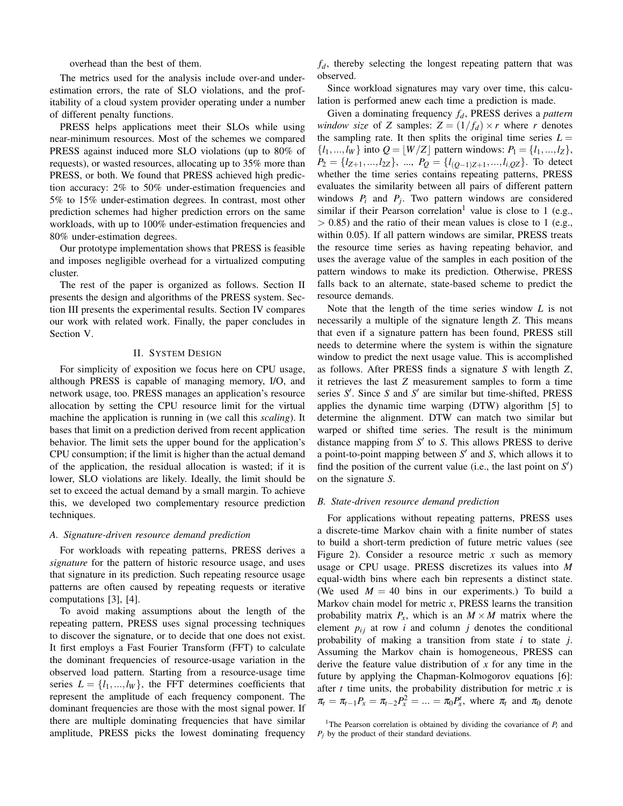overhead than the best of them.

The metrics used for the analysis include over-and underestimation errors, the rate of SLO violations, and the profitability of a cloud system provider operating under a number of different penalty functions.

PRESS helps applications meet their SLOs while using near-minimum resources. Most of the schemes we compared PRESS against induced more SLO violations (up to 80% of requests), or wasted resources, allocating up to 35% more than PRESS, or both. We found that PRESS achieved high prediction accuracy: 2% to 50% under-estimation frequencies and 5% to 15% under-estimation degrees. In contrast, most other prediction schemes had higher prediction errors on the same workloads, with up to 100% under-estimation frequencies and 80% under-estimation degrees.

Our prototype implementation shows that PRESS is feasible and imposes negligible overhead for a virtualized computing cluster.

The rest of the paper is organized as follows. Section II presents the design and algorithms of the PRESS system. Section III presents the experimental results. Section IV compares our work with related work. Finally, the paper concludes in Section V.

# II. SYSTEM DESIGN

For simplicity of exposition we focus here on CPU usage, although PRESS is capable of managing memory, I/O, and network usage, too. PRESS manages an application's resource allocation by setting the CPU resource limit for the virtual machine the application is running in (we call this *scaling*). It bases that limit on a prediction derived from recent application behavior. The limit sets the upper bound for the application's CPU consumption; if the limit is higher than the actual demand of the application, the residual allocation is wasted; if it is lower, SLO violations are likely. Ideally, the limit should be set to exceed the actual demand by a small margin. To achieve this, we developed two complementary resource prediction techniques.

#### *A. Signature-driven resource demand prediction*

For workloads with repeating patterns, PRESS derives a *signature* for the pattern of historic resource usage, and uses that signature in its prediction. Such repeating resource usage patterns are often caused by repeating requests or iterative computations [3], [4].

To avoid making assumptions about the length of the repeating pattern, PRESS uses signal processing techniques to discover the signature, or to decide that one does not exist. It first employs a Fast Fourier Transform (FFT) to calculate the dominant frequencies of resource-usage variation in the observed load pattern. Starting from a resource-usage time series  $L = \{l_1, ..., l_W\}$ , the FFT determines coefficients that represent the amplitude of each frequency component. The dominant frequencies are those with the most signal power. If there are multiple dominating frequencies that have similar amplitude, PRESS picks the lowest dominating frequency *fd*, thereby selecting the longest repeating pattern that was observed.

Since workload signatures may vary over time, this calculation is performed anew each time a prediction is made.

Given a dominating frequency *fd*, PRESS derives a *pattern window size* of *Z* samples:  $Z = \frac{1}{f_d} \times r$  where *r* denotes the sampling rate. It then splits the original time series  $L =$  ${l_1, ..., l_W}$  into  $Q = [W/Z]$  pattern windows:  $P_1 = {l_1, ..., l_Z}$ ,  $P_2 = \{l_{Z+1},...,l_{2Z}\},\, ..., \, P_Q = \{l_{(Q-1)Z+1},...,l_{i,QZ}\}.$  To detect whether the time series contains repeating patterns, PRESS evaluates the similarity between all pairs of different pattern windows  $P_i$  and  $P_j$ . Two pattern windows are considered similar if their Pearson correlation<sup>1</sup> value is close to 1 (e.g., *>* 0.85) and the ratio of their mean values is close to 1 (e.g., within 0.05). If all pattern windows are similar, PRESS treats the resource time series as having repeating behavior, and uses the average value of the samples in each position of the pattern windows to make its prediction. Otherwise, PRESS falls back to an alternate, state-based scheme to predict the resource demands.

Note that the length of the time series window *L* is not necessarily a multiple of the signature length *Z*. This means that even if a signature pattern has been found, PRESS still needs to determine where the system is within the signature window to predict the next usage value. This is accomplished as follows. After PRESS finds a signature *S* with length *Z*, it retrieves the last *Z* measurement samples to form a time series *S ′* . Since *S* and *S ′* are similar but time-shifted, PRESS applies the dynamic time warping (DTW) algorithm [5] to determine the alignment. DTW can match two similar but warped or shifted time series. The result is the minimum distance mapping from *S ′* to *S*. This allows PRESS to derive a point-to-point mapping between *S ′* and *S*, which allows it to find the position of the current value (i.e., the last point on *S ′* ) on the signature *S*.

#### *B. State-driven resource demand prediction*

For applications without repeating patterns, PRESS uses a discrete-time Markov chain with a finite number of states to build a short-term prediction of future metric values (see Figure 2). Consider a resource metric  $x$  such as memory usage or CPU usage. PRESS discretizes its values into *M* equal-width bins where each bin represents a distinct state. (We used  $M = 40$  bins in our experiments.) To build a Markov chain model for metric *x*, PRESS learns the transition probability matrix  $P_x$ , which is an  $M \times M$  matrix where the element  $p_{ij}$  at row *i* and column *j* denotes the conditional probability of making a transition from state *i* to state *j*. Assuming the Markov chain is homogeneous, PRESS can derive the feature value distribution of *x* for any time in the future by applying the Chapman-Kolmogorov equations [6]: after  $t$  time units, the probability distribution for metric  $x$  is  $\pi_t = \pi_{t-1} P_x = \pi_{t-2} P_x^2 = \ldots = \pi_0 P_x^t$ , where  $\pi_t$  and  $\pi_0$  denote

<sup>&</sup>lt;sup>1</sup>The Pearson correlation is obtained by dividing the covariance of  $P_i$  and  $P_j$  by the product of their standard deviations.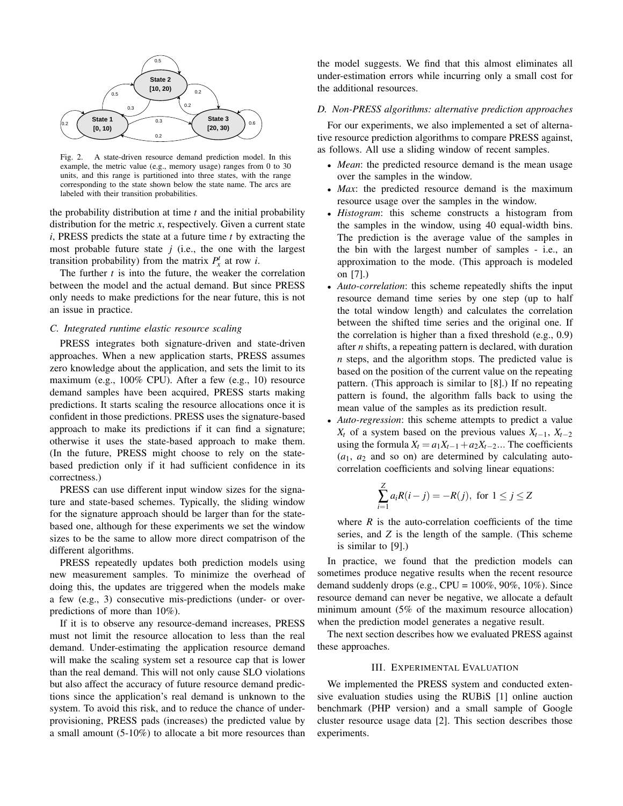

Fig. 2. A state-driven resource demand prediction model. In this example, the metric value (e.g., memory usage) ranges from 0 to 30 units, and this range is partitioned into three states, with the range corresponding to the state shown below the state name. The arcs are labeled with their transition probabilities.

the probability distribution at time *t* and the initial probability distribution for the metric *x*, respectively. Given a current state *i*, PRESS predicts the state at a future time *t* by extracting the most probable future state  $j$  (i.e., the one with the largest transition probability) from the matrix  $P_x^t$  at row *i*.

The further *t* is into the future, the weaker the correlation between the model and the actual demand. But since PRESS only needs to make predictions for the near future, this is not an issue in practice.

# *C. Integrated runtime elastic resource scaling*

PRESS integrates both signature-driven and state-driven approaches. When a new application starts, PRESS assumes zero knowledge about the application, and sets the limit to its maximum (e.g., 100% CPU). After a few (e.g., 10) resource demand samples have been acquired, PRESS starts making predictions. It starts scaling the resource allocations once it is confident in those predictions. PRESS uses the signature-based approach to make its predictions if it can find a signature; otherwise it uses the state-based approach to make them. (In the future, PRESS might choose to rely on the statebased prediction only if it had sufficient confidence in its correctness.)

PRESS can use different input window sizes for the signature and state-based schemes. Typically, the sliding window for the signature approach should be larger than for the statebased one, although for these experiments we set the window sizes to be the same to allow more direct compatrison of the different algorithms.

PRESS repeatedly updates both prediction models using new measurement samples. To minimize the overhead of doing this, the updates are triggered when the models make a few (e.g., 3) consecutive mis-predictions (under- or overpredictions of more than 10%).

If it is to observe any resource-demand increases, PRESS must not limit the resource allocation to less than the real demand. Under-estimating the application resource demand will make the scaling system set a resource cap that is lower than the real demand. This will not only cause SLO violations but also affect the accuracy of future resource demand predictions since the application's real demand is unknown to the system. To avoid this risk, and to reduce the chance of underprovisioning, PRESS pads (increases) the predicted value by a small amount (5-10%) to allocate a bit more resources than the model suggests. We find that this almost eliminates all under-estimation errors while incurring only a small cost for the additional resources.

#### *D. Non-PRESS algorithms: alternative prediction approaches*

For our experiments, we also implemented a set of alternative resource prediction algorithms to compare PRESS against, as follows. All use a sliding window of recent samples.

- *• Mean*: the predicted resource demand is the mean usage over the samples in the window.
- *• Max*: the predicted resource demand is the maximum resource usage over the samples in the window.
- *• Histogram*: this scheme constructs a histogram from the samples in the window, using 40 equal-width bins. The prediction is the average value of the samples in the bin with the largest number of samples - i.e., an approximation to the mode. (This approach is modeled on [7].)
- *• Auto-correlation*: this scheme repeatedly shifts the input resource demand time series by one step (up to half the total window length) and calculates the correlation between the shifted time series and the original one. If the correlation is higher than a fixed threshold (e.g., 0.9) after *n* shifts, a repeating pattern is declared, with duration *n* steps, and the algorithm stops. The predicted value is based on the position of the current value on the repeating pattern. (This approach is similar to [8].) If no repeating pattern is found, the algorithm falls back to using the mean value of the samples as its prediction result.
- *• Auto-regression*: this scheme attempts to predict a value *X*<sup>*t*</sup> of a system based on the previous values  $X_{t-1}$ ,  $X_{t-2}$ using the formula  $X_t = a_1 X_{t-1} + a_2 X_{t-2}$ ... The coefficients  $(a_1, a_2, a_3)$  and so on) are determined by calculating autocorrelation coefficients and solving linear equations:

$$
\sum_{i=1}^{Z} a_i R(i-j) = -R(j), \text{ for } 1 \le j \le Z
$$

where  $R$  is the auto-correlation coefficients of the time series, and *Z* is the length of the sample. (This scheme is similar to [9].)

In practice, we found that the prediction models can sometimes produce negative results when the recent resource demand suddenly drops (e.g.,  $CPU = 100\%$ ,  $90\%$ ,  $10\%$ ). Since resource demand can never be negative, we allocate a default minimum amount (5% of the maximum resource allocation) when the prediction model generates a negative result.

The next section describes how we evaluated PRESS against these approaches.

#### III. EXPERIMENTAL EVALUATION

We implemented the PRESS system and conducted extensive evaluation studies using the RUBiS [1] online auction benchmark (PHP version) and a small sample of Google cluster resource usage data [2]. This section describes those experiments.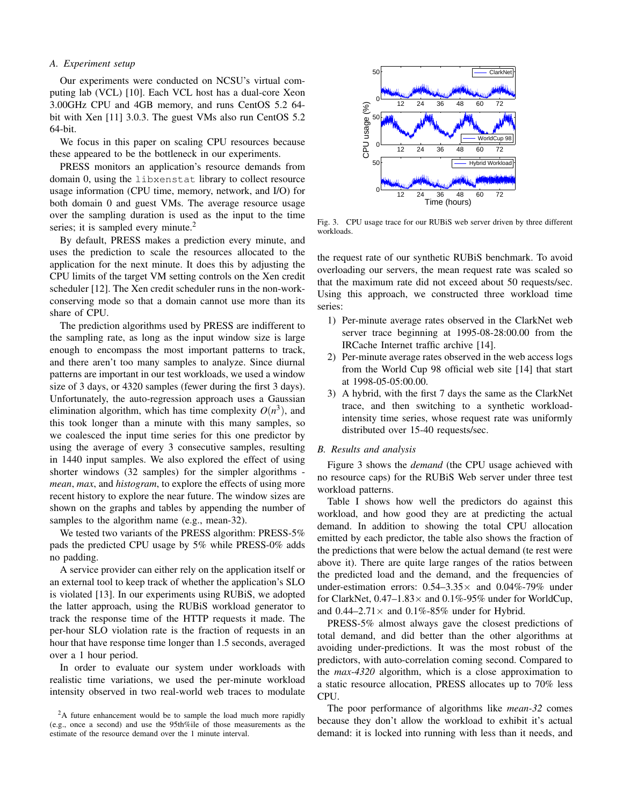# *A. Experiment setup*

Our experiments were conducted on NCSU's virtual computing lab (VCL) [10]. Each VCL host has a dual-core Xeon 3.00GHz CPU and 4GB memory, and runs CentOS 5.2 64 bit with Xen [11] 3.0.3. The guest VMs also run CentOS 5.2 64-bit.

We focus in this paper on scaling CPU resources because these appeared to be the bottleneck in our experiments.

PRESS monitors an application's resource demands from domain 0, using the libxenstat library to collect resource usage information (CPU time, memory, network, and I/O) for both domain 0 and guest VMs. The average resource usage over the sampling duration is used as the input to the time series; it is sampled every minute. $2$ 

By default, PRESS makes a prediction every minute, and uses the prediction to scale the resources allocated to the application for the next minute. It does this by adjusting the CPU limits of the target VM setting controls on the Xen credit scheduler [12]. The Xen credit scheduler runs in the non-workconserving mode so that a domain cannot use more than its share of CPU.

The prediction algorithms used by PRESS are indifferent to the sampling rate, as long as the input window size is large enough to encompass the most important patterns to track, and there aren't too many samples to analyze. Since diurnal patterns are important in our test workloads, we used a window size of 3 days, or 4320 samples (fewer during the first 3 days). Unfortunately, the auto-regression approach uses a Gaussian elimination algorithm, which has time complexity  $O(n^3)$ , and this took longer than a minute with this many samples, so we coalesced the input time series for this one predictor by using the average of every 3 consecutive samples, resulting in 1440 input samples. We also explored the effect of using shorter windows (32 samples) for the simpler algorithms *mean*, *max*, and *histogram*, to explore the effects of using more recent history to explore the near future. The window sizes are shown on the graphs and tables by appending the number of samples to the algorithm name (e.g., mean-32).

We tested two variants of the PRESS algorithm: PRESS-5% pads the predicted CPU usage by 5% while PRESS-0% adds no padding.

A service provider can either rely on the application itself or an external tool to keep track of whether the application's SLO is violated [13]. In our experiments using RUBiS, we adopted the latter approach, using the RUBiS workload generator to track the response time of the HTTP requests it made. The per-hour SLO violation rate is the fraction of requests in an hour that have response time longer than 1.5 seconds, averaged over a 1 hour period.

In order to evaluate our system under workloads with realistic time variations, we used the per-minute workload intensity observed in two real-world web traces to modulate



Fig. 3. CPU usage trace for our RUBiS web server driven by three different workloads.

the request rate of our synthetic RUBiS benchmark. To avoid overloading our servers, the mean request rate was scaled so that the maximum rate did not exceed about 50 requests/sec. Using this approach, we constructed three workload time series:

- 1) Per-minute average rates observed in the ClarkNet web server trace beginning at 1995-08-28:00.00 from the IRCache Internet traffic archive [14].
- 2) Per-minute average rates observed in the web access logs from the World Cup 98 official web site [14] that start at 1998-05-05:00.00.
- 3) A hybrid, with the first 7 days the same as the ClarkNet trace, and then switching to a synthetic workloadintensity time series, whose request rate was uniformly distributed over 15-40 requests/sec.

# *B. Results and analysis*

Figure 3 shows the *demand* (the CPU usage achieved with no resource caps) for the RUBiS Web server under three test workload patterns.

Table I shows how well the predictors do against this workload, and how good they are at predicting the actual demand. In addition to showing the total CPU allocation emitted by each predictor, the table also shows the fraction of the predictions that were below the actual demand (te rest were above it). There are quite large ranges of the ratios between the predicted load and the demand, and the frequencies of under-estimation errors: 0.54–3.35*×* and 0.04%-79% under for ClarkNet, 0.47–1.83*×* and 0.1%-95% under for WorldCup, and  $0.44-2.71\times$  and  $0.1\%$ -85% under for Hybrid.

PRESS-5% almost always gave the closest predictions of total demand, and did better than the other algorithms at avoiding under-predictions. It was the most robust of the predictors, with auto-correlation coming second. Compared to the *max-4320* algorithm, which is a close approximation to a static resource allocation, PRESS allocates up to 70% less CPU.

The poor performance of algorithms like *mean-32* comes because they don't allow the workload to exhibit it's actual demand: it is locked into running with less than it needs, and

<sup>&</sup>lt;sup>2</sup>A future enhancement would be to sample the load much more rapidly (e.g., once a second) and use the 95th%ile of those measurements as the estimate of the resource demand over the 1 minute interval.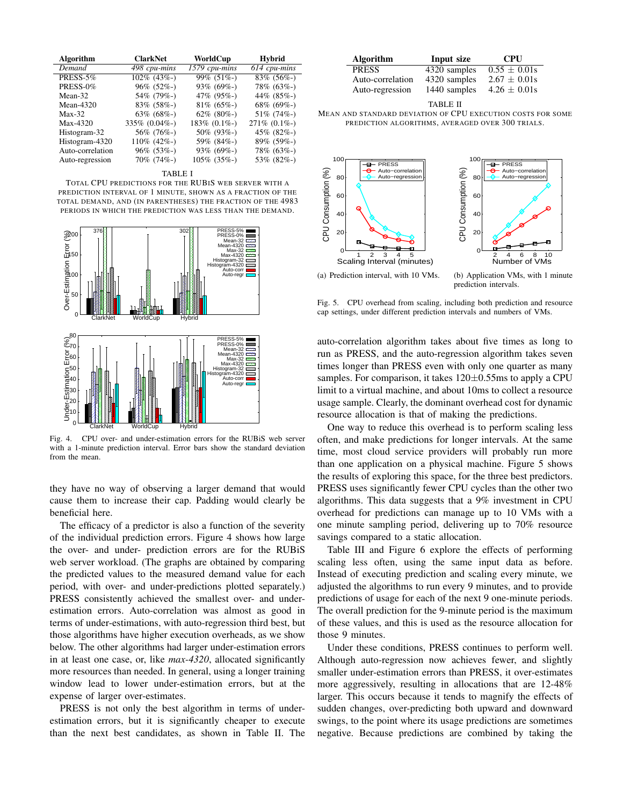| Algorithm        | <b>ClarkNet</b>  | WorldCup        | Hybrid          |
|------------------|------------------|-----------------|-----------------|
| Demand           | 498 cpu-mins     | 1579 cpu-mins   | 614 cpu-mins    |
| PRESS-5%         | 102% (43%-)      | 99% $(51\% - )$ | $83\%$ (56%-)   |
| PRESS-0%         | $96\%$ (52\%-)   | $93\%$ (69%-)   | 78% (63%-)      |
| Mean-32          | 54% (79%-)       | 47% (95%-)      | 44% (85%-)      |
| Mean- $4320$     | $83\%$ (58%-)    | $81\%$ (65%-)   | $68\%~(69\%)$   |
| Max-32           | $63\%$ $(68\%-)$ | $62\%$ (80%-)   | 51% (74%-)      |
| Max-4320         | 335% (0.04%-)    | $183\%$ (0.1%-) | $271\%$ (0.1%-) |
| Histogram-32     | 56% (76%-)       | $50\%$ (93%-)   | 45\% $(82\%-)$  |
| Histogram-4320   | 110% (42%-)      | 59% (84%-)      | 89% (59%-)      |
| Auto-correlation | $96\%$ (53%-)    | $93\%$ (69%-)   | 78% (63%-)      |
| Auto-regression  | 70% (74%-)       | 105% (35%-)     | 53% (82%-)      |

#### TABLE I

TOTAL CPU PREDICTIONS FOR THE RUBIS WEB SERVER WITH A PREDICTION INTERVAL OF 1 MINUTE, SHOWN AS A FRACTION OF THE TOTAL DEMAND, AND (IN PARENTHESES) THE FRACTION OF THE 4983 PERIODS IN WHICH THE PREDICTION WAS LESS THAN THE DEMAND.



Fig. 4. CPU over- and under-estimation errors for the RUBiS web server with a 1-minute prediction interval. Error bars show the standard deviation from the mean.

they have no way of observing a larger demand that would cause them to increase their cap. Padding would clearly be beneficial here.

The efficacy of a predictor is also a function of the severity of the individual prediction errors. Figure 4 shows how large the over- and under- prediction errors are for the RUBiS web server workload. (The graphs are obtained by comparing the predicted values to the measured demand value for each period, with over- and under-predictions plotted separately.) PRESS consistently achieved the smallest over- and underestimation errors. Auto-correlation was almost as good in terms of under-estimations, with auto-regression third best, but those algorithms have higher execution overheads, as we show below. The other algorithms had larger under-estimation errors in at least one case, or, like *max-4320*, allocated significantly more resources than needed. In general, using a longer training window lead to lower under-estimation errors, but at the expense of larger over-estimates.

PRESS is not only the best algorithm in terms of underestimation errors, but it is significantly cheaper to execute than the next best candidates, as shown in Table II. The

| <b>Algorithm</b> | Input size   | <b>CPU</b>        |
|------------------|--------------|-------------------|
| <b>PRESS</b>     | 4320 samples | $0.55 \pm 0.01$ s |
| Auto-correlation | 4320 samples | $2.67 \pm 0.01$ s |
| Auto-regression  | 1440 samples | $4.26 \pm 0.01$ s |

TABLE II MEAN AND STANDARD DEVIATION OF CPU EXECUTION COSTS FOR SOME PREDICTION ALGORITHMS, AVERAGED OVER 300 TRIALS.



Fig. 5. CPU overhead from scaling, including both prediction and resource cap settings, under different prediction intervals and numbers of VMs.

auto-correlation algorithm takes about five times as long to run as PRESS, and the auto-regression algorithm takes seven times longer than PRESS even with only one quarter as many samples. For comparison, it takes 120*±*0.55ms to apply a CPU limit to a virtual machine, and about 10ms to collect a resource usage sample. Clearly, the dominant overhead cost for dynamic resource allocation is that of making the predictions.

One way to reduce this overhead is to perform scaling less often, and make predictions for longer intervals. At the same time, most cloud service providers will probably run more than one application on a physical machine. Figure 5 shows the results of exploring this space, for the three best predictors. PRESS uses significantly fewer CPU cycles than the other two algorithms. This data suggests that a 9% investment in CPU overhead for predictions can manage up to 10 VMs with a one minute sampling period, delivering up to 70% resource savings compared to a static allocation.

Table III and Figure 6 explore the effects of performing scaling less often, using the same input data as before. Instead of executing prediction and scaling every minute, we adjusted the algorithms to run every 9 minutes, and to provide predictions of usage for each of the next 9 one-minute periods. The overall prediction for the 9-minute period is the maximum of these values, and this is used as the resource allocation for those 9 minutes.

Under these conditions, PRESS continues to perform well. Although auto-regression now achieves fewer, and slightly smaller under-estimation errors than PRESS, it over-estimates more aggressively, resulting in allocations that are 12-48% larger. This occurs because it tends to magnify the effects of sudden changes, over-predicting both upward and downward swings, to the point where its usage predictions are sometimes negative. Because predictions are combined by taking the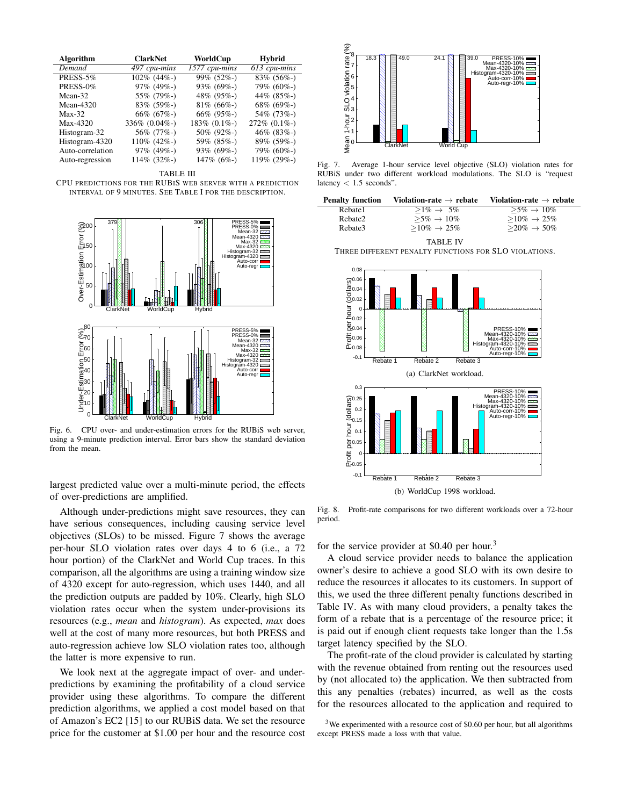| Algorithm        | <b>ClarkNet</b>   | WorldCup        | Hybrid          |
|------------------|-------------------|-----------------|-----------------|
| Demand           | 497 cpu-mins      | 1577 cpu-mins   | 613 cpu-mins    |
| PRESS-5%         | 102% (44%-)       | 99% (52%-)      | $83\%$ (56%-)   |
| PRESS-0%         | $97\%$ (49%-)     | $93\%$ (69%-)   | 79% (60%-)      |
| Mean-32          | 55% (79%-)        | 48% (95%-)      | 44% (85%-)      |
| Mean- $4320$     | $83\%$ (59%-)     | $81\%$ (66%-)   | $68\%$ (69%-)   |
| $Max-32$         | 66% (67%-)        | $66\%$ (95%-)   | 54% (73%-)      |
| Max-4320         | $336\% (0.04\%-)$ | $183\%$ (0.1%-) | $272\%$ (0.1%-) |
| Histogram-32     | 56% (77%-)        | 50% (92%-)      | $46\%$ (83%-)   |
| Histogram-4320   | 110% (42%-)       | 59% (85%-)      | 89% (59%-)      |
| Auto-correlation | $97\%$ (49%-)     | $93\%$ (69%-)   | 79% (60%-)      |
| Auto-regression  | 114% (32%-)       | $147\%$ (6%-)   | 119% (29%-)     |

TABLE III

CPU PREDICTIONS FOR THE RUBIS WEB SERVER WITH A PREDICTION INTERVAL OF 9 MINUTES. SEE TABLE I FOR THE DESCRIPTION.



Fig. 6. CPU over- and under-estimation errors for the RUBiS web server, using a 9-minute prediction interval. Error bars show the standard deviation from the mean.

largest predicted value over a multi-minute period, the effects of over-predictions are amplified.

Although under-predictions might save resources, they can have serious consequences, including causing service level objectives (SLOs) to be missed. Figure 7 shows the average per-hour SLO violation rates over days 4 to 6 (i.e., a 72 hour portion) of the ClarkNet and World Cup traces. In this comparison, all the algorithms are using a training window size of 4320 except for auto-regression, which uses 1440, and all the prediction outputs are padded by 10%. Clearly, high SLO violation rates occur when the system under-provisions its resources (e.g., *mean* and *histogram*). As expected, *max* does well at the cost of many more resources, but both PRESS and auto-regression achieve low SLO violation rates too, although the latter is more expensive to run.

We look next at the aggregate impact of over- and underpredictions by examining the profitability of a cloud service provider using these algorithms. To compare the different prediction algorithms, we applied a cost model based on that of Amazon's EC2 [15] to our RUBiS data. We set the resource



Fig. 7. Average 1-hour service level objective (SLO) violation rates for RUBiS under two different workload modulations. The SLO is "request latency *<* 1.5 seconds".

|         | <b>Penalty function</b> Violation-rate $\rightarrow$ rebate Violation-rate $\rightarrow$ rebate |                         |
|---------|-------------------------------------------------------------------------------------------------|-------------------------|
| Rebate1 | $>1\% \rightarrow 5\%$                                                                          | $>5\% \rightarrow 10\%$ |

| Rebate 1 | $>1\% \rightarrow 5\%$   | $>5\% \rightarrow 10\%$  |
|----------|--------------------------|--------------------------|
| Rebate2  | $>5\% \rightarrow 10\%$  | $>10\% \rightarrow 25\%$ |
| Rebate3  | $>10\% \rightarrow 25\%$ | $>20\% \rightarrow 50\%$ |

TABLE IV

 $Rebate3$ 

THREE DIFFERENT PENALTY FUNCTIONS FOR SLO VIOLATIONS.



Fig. 8. Profit-rate comparisons for two different workloads over a 72-hour period.

for the service provider at \$0.40 per hour.<sup>3</sup>

A cloud service provider needs to balance the application owner's desire to achieve a good SLO with its own desire to reduce the resources it allocates to its customers. In support of this, we used the three different penalty functions described in Table IV. As with many cloud providers, a penalty takes the form of a rebate that is a percentage of the resource price; it is paid out if enough client requests take longer than the 1.5s target latency specified by the SLO.

The profit-rate of the cloud provider is calculated by starting with the revenue obtained from renting out the resources used by (not allocated to) the application. We then subtracted from this any penalties (rebates) incurred, as well as the costs for the resources allocated to the application and required to

<sup>3</sup>We experimented with a resource cost of \$0.60 per hour, but all algorithms except PRESS made a loss with that value.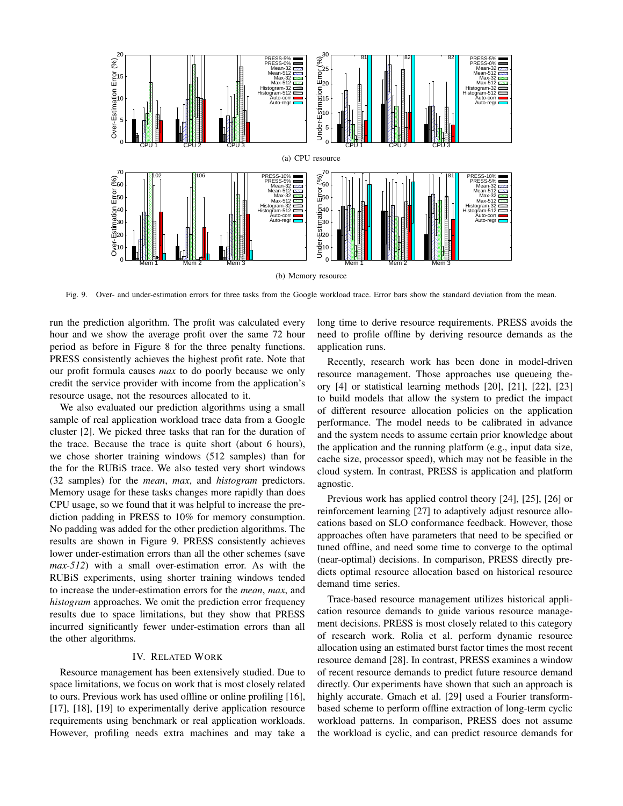

Fig. 9. Over- and under-estimation errors for three tasks from the Google workload trace. Error bars show the standard deviation from the mean.

run the prediction algorithm. The profit was calculated every hour and we show the average profit over the same 72 hour period as before in Figure 8 for the three penalty functions. PRESS consistently achieves the highest profit rate. Note that our profit formula causes *max* to do poorly because we only credit the service provider with income from the application's resource usage, not the resources allocated to it.

We also evaluated our prediction algorithms using a small sample of real application workload trace data from a Google cluster [2]. We picked three tasks that ran for the duration of the trace. Because the trace is quite short (about 6 hours), we chose shorter training windows (512 samples) than for the for the RUBiS trace. We also tested very short windows (32 samples) for the *mean*, *max*, and *histogram* predictors. Memory usage for these tasks changes more rapidly than does CPU usage, so we found that it was helpful to increase the prediction padding in PRESS to 10% for memory consumption. No padding was added for the other prediction algorithms. The results are shown in Figure 9. PRESS consistently achieves lower under-estimation errors than all the other schemes (save *max-512*) with a small over-estimation error. As with the RUBiS experiments, using shorter training windows tended to increase the under-estimation errors for the *mean*, *max*, and *histogram* approaches. We omit the prediction error frequency results due to space limitations, but they show that PRESS incurred significantly fewer under-estimation errors than all the other algorithms.

# IV. RELATED WORK

Resource management has been extensively studied. Due to space limitations, we focus on work that is most closely related to ours. Previous work has used offline or online profiling [16], [17], [18], [19] to experimentally derive application resource requirements using benchmark or real application workloads. However, profiling needs extra machines and may take a long time to derive resource requirements. PRESS avoids the need to profile offline by deriving resource demands as the application runs.

Recently, research work has been done in model-driven resource management. Those approaches use queueing theory [4] or statistical learning methods [20], [21], [22], [23] to build models that allow the system to predict the impact of different resource allocation policies on the application performance. The model needs to be calibrated in advance and the system needs to assume certain prior knowledge about the application and the running platform (e.g., input data size, cache size, processor speed), which may not be feasible in the cloud system. In contrast, PRESS is application and platform agnostic.

Previous work has applied control theory [24], [25], [26] or reinforcement learning [27] to adaptively adjust resource allocations based on SLO conformance feedback. However, those approaches often have parameters that need to be specified or tuned offline, and need some time to converge to the optimal (near-optimal) decisions. In comparison, PRESS directly predicts optimal resource allocation based on historical resource demand time series.

Trace-based resource management utilizes historical application resource demands to guide various resource management decisions. PRESS is most closely related to this category of research work. Rolia et al. perform dynamic resource allocation using an estimated burst factor times the most recent resource demand [28]. In contrast, PRESS examines a window of recent resource demands to predict future resource demand directly. Our experiments have shown that such an approach is highly accurate. Gmach et al. [29] used a Fourier transformbased scheme to perform offline extraction of long-term cyclic workload patterns. In comparison, PRESS does not assume the workload is cyclic, and can predict resource demands for